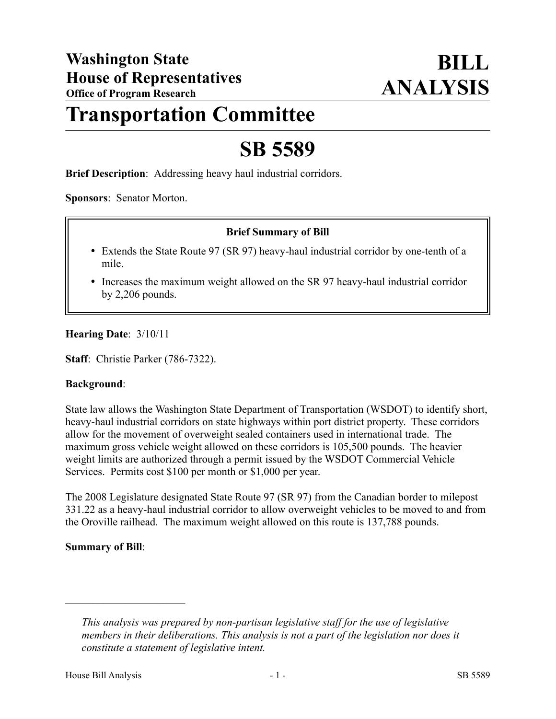# **Transportation Committee**

# **SB 5589**

**Brief Description**: Addressing heavy haul industrial corridors.

**Sponsors**: Senator Morton.

### **Brief Summary of Bill**

- Extends the State Route 97 (SR 97) heavy-haul industrial corridor by one-tenth of a mile.
- Increases the maximum weight allowed on the SR 97 heavy-haul industrial corridor by 2,206 pounds.

#### **Hearing Date**: 3/10/11

**Staff**: Christie Parker (786-7322).

#### **Background**:

State law allows the Washington State Department of Transportation (WSDOT) to identify short, heavy-haul industrial corridors on state highways within port district property. These corridors allow for the movement of overweight sealed containers used in international trade. The maximum gross vehicle weight allowed on these corridors is 105,500 pounds. The heavier weight limits are authorized through a permit issued by the WSDOT Commercial Vehicle Services. Permits cost \$100 per month or \$1,000 per year.

The 2008 Legislature designated State Route 97 (SR 97) from the Canadian border to milepost 331.22 as a heavy-haul industrial corridor to allow overweight vehicles to be moved to and from the Oroville railhead. The maximum weight allowed on this route is 137,788 pounds.

#### **Summary of Bill**:

––––––––––––––––––––––

*This analysis was prepared by non-partisan legislative staff for the use of legislative members in their deliberations. This analysis is not a part of the legislation nor does it constitute a statement of legislative intent.*